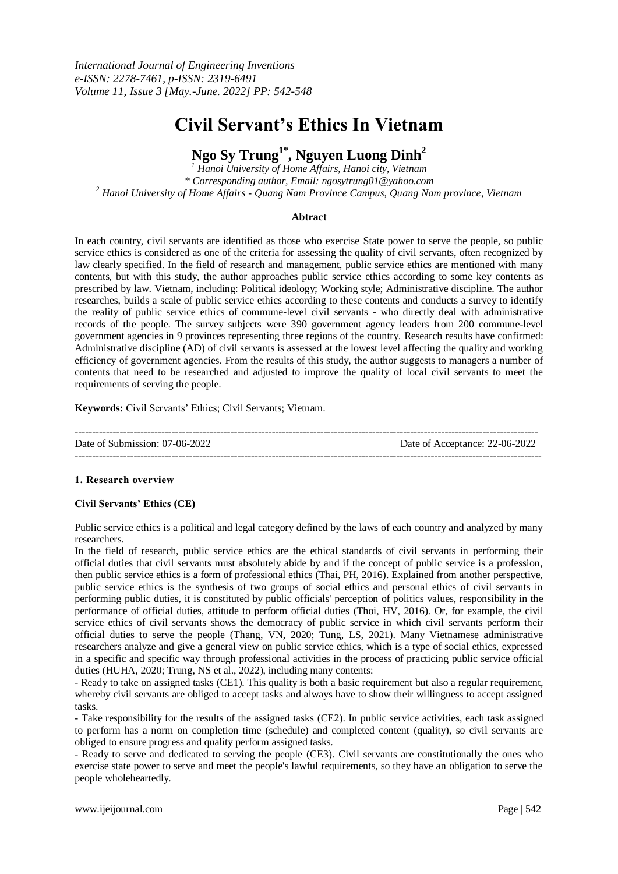# **Civil Servant's Ethics In Vietnam**

# **Ngo Sy Trung1\*, Nguyen Luong Dinh<sup>2</sup>**

*<sup>1</sup> Hanoi University of Home Affairs, Hanoi city, Vietnam \* Corresponding author, Email: ngosytrung01@yahoo.com <sup>2</sup> Hanoi University of Home Affairs - Quang Nam Province Campus, Quang Nam province, Vietnam*

# **Abtract**

In each country, civil servants are identified as those who exercise State power to serve the people, so public service ethics is considered as one of the criteria for assessing the quality of civil servants, often recognized by law clearly specified. In the field of research and management, public service ethics are mentioned with many contents, but with this study, the author approaches public service ethics according to some key contents as prescribed by law. Vietnam, including: Political ideology; Working style; Administrative discipline. The author researches, builds a scale of public service ethics according to these contents and conducts a survey to identify the reality of public service ethics of commune-level civil servants - who directly deal with administrative records of the people. The survey subjects were 390 government agency leaders from 200 commune-level government agencies in 9 provinces representing three regions of the country. Research results have confirmed: Administrative discipline (AD) of civil servants is assessed at the lowest level affecting the quality and working efficiency of government agencies. From the results of this study, the author suggests to managers a number of contents that need to be researched and adjusted to improve the quality of local civil servants to meet the requirements of serving the people.

**Keywords:** Civil Servants' Ethics; Civil Servants; Vietnam.

-------------------------------------------------------------------------------------------------------------------------------------- Date of Submission: 07-06-2022 Date of Acceptance: 22-06-2022  $-1-\frac{1}{2}$ 

# **1. Research overview**

# **Civil Servants' Ethics (CE)**

Public service ethics is a political and legal category defined by the laws of each country and analyzed by many researchers.

In the field of research, public service ethics are the ethical standards of civil servants in performing their official duties that civil servants must absolutely abide by and if the concept of public service is a profession, then public service ethics is a form of professional ethics (Thai, PH, 2016). Explained from another perspective, public service ethics is the synthesis of two groups of social ethics and personal ethics of civil servants in performing public duties, it is constituted by public officials' perception of politics values, responsibility in the performance of official duties, attitude to perform official duties (Thoi, HV, 2016). Or, for example, the civil service ethics of civil servants shows the democracy of public service in which civil servants perform their official duties to serve the people (Thang, VN, 2020; Tung, LS, 2021). Many Vietnamese administrative researchers analyze and give a general view on public service ethics, which is a type of social ethics, expressed in a specific and specific way through professional activities in the process of practicing public service official duties (HUHA, 2020; Trung, NS et al., 2022), including many contents:

- Ready to take on assigned tasks (CE1). This quality is both a basic requirement but also a regular requirement, whereby civil servants are obliged to accept tasks and always have to show their willingness to accept assigned tasks.

- Take responsibility for the results of the assigned tasks (CE2). In public service activities, each task assigned to perform has a norm on completion time (schedule) and completed content (quality), so civil servants are obliged to ensure progress and quality perform assigned tasks.

- Ready to serve and dedicated to serving the people (CE3). Civil servants are constitutionally the ones who exercise state power to serve and meet the people's lawful requirements, so they have an obligation to serve the people wholeheartedly.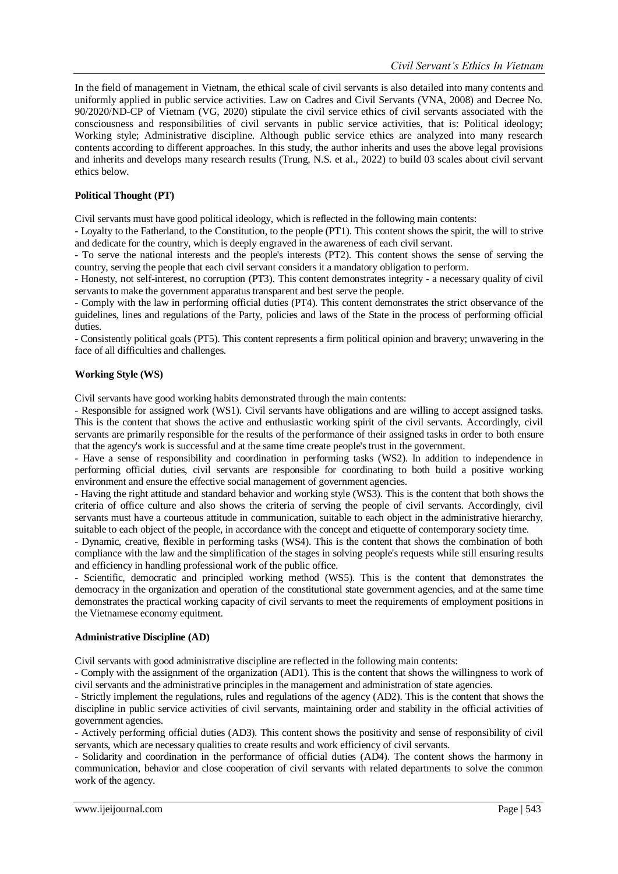In the field of management in Vietnam, the ethical scale of civil servants is also detailed into many contents and uniformly applied in public service activities. Law on Cadres and Civil Servants (VNA, 2008) and Decree No. 90/2020/ND-CP of Vietnam (VG, 2020) stipulate the civil service ethics of civil servants associated with the consciousness and responsibilities of civil servants in public service activities, that is: Political ideology; Working style; Administrative discipline. Although public service ethics are analyzed into many research contents according to different approaches. In this study, the author inherits and uses the above legal provisions and inherits and develops many research results (Trung, N.S. et al., 2022) to build 03 scales about civil servant ethics below.

# **Political Thought (PT)**

Civil servants must have good political ideology, which is reflected in the following main contents:

- Loyalty to the Fatherland, to the Constitution, to the people (PT1). This content shows the spirit, the will to strive and dedicate for the country, which is deeply engraved in the awareness of each civil servant.

- To serve the national interests and the people's interests (PT2). This content shows the sense of serving the country, serving the people that each civil servant considers it a mandatory obligation to perform.

- Honesty, not self-interest, no corruption (PT3). This content demonstrates integrity - a necessary quality of civil servants to make the government apparatus transparent and best serve the people.

- Comply with the law in performing official duties (PT4). This content demonstrates the strict observance of the guidelines, lines and regulations of the Party, policies and laws of the State in the process of performing official duties.

- Consistently political goals (PT5). This content represents a firm political opinion and bravery; unwavering in the face of all difficulties and challenges.

# **Working Style (WS)**

Civil servants have good working habits demonstrated through the main contents:

- Responsible for assigned work (WS1). Civil servants have obligations and are willing to accept assigned tasks. This is the content that shows the active and enthusiastic working spirit of the civil servants. Accordingly, civil servants are primarily responsible for the results of the performance of their assigned tasks in order to both ensure that the agency's work is successful and at the same time create people's trust in the government.

- Have a sense of responsibility and coordination in performing tasks (WS2). In addition to independence in performing official duties, civil servants are responsible for coordinating to both build a positive working environment and ensure the effective social management of government agencies.

- Having the right attitude and standard behavior and working style (WS3). This is the content that both shows the criteria of office culture and also shows the criteria of serving the people of civil servants. Accordingly, civil servants must have a courteous attitude in communication, suitable to each object in the administrative hierarchy, suitable to each object of the people, in accordance with the concept and etiquette of contemporary society time.

- Dynamic, creative, flexible in performing tasks (WS4). This is the content that shows the combination of both compliance with the law and the simplification of the stages in solving people's requests while still ensuring results and efficiency in handling professional work of the public office.

- Scientific, democratic and principled working method (WS5). This is the content that demonstrates the democracy in the organization and operation of the constitutional state government agencies, and at the same time demonstrates the practical working capacity of civil servants to meet the requirements of employment positions in the Vietnamese economy equitment.

# **Administrative Discipline (AD)**

Civil servants with good administrative discipline are reflected in the following main contents:

- Comply with the assignment of the organization (AD1). This is the content that shows the willingness to work of civil servants and the administrative principles in the management and administration of state agencies.

- Strictly implement the regulations, rules and regulations of the agency (AD2). This is the content that shows the discipline in public service activities of civil servants, maintaining order and stability in the official activities of government agencies.

- Actively performing official duties (AD3). This content shows the positivity and sense of responsibility of civil servants, which are necessary qualities to create results and work efficiency of civil servants.

- Solidarity and coordination in the performance of official duties (AD4). The content shows the harmony in communication, behavior and close cooperation of civil servants with related departments to solve the common work of the agency.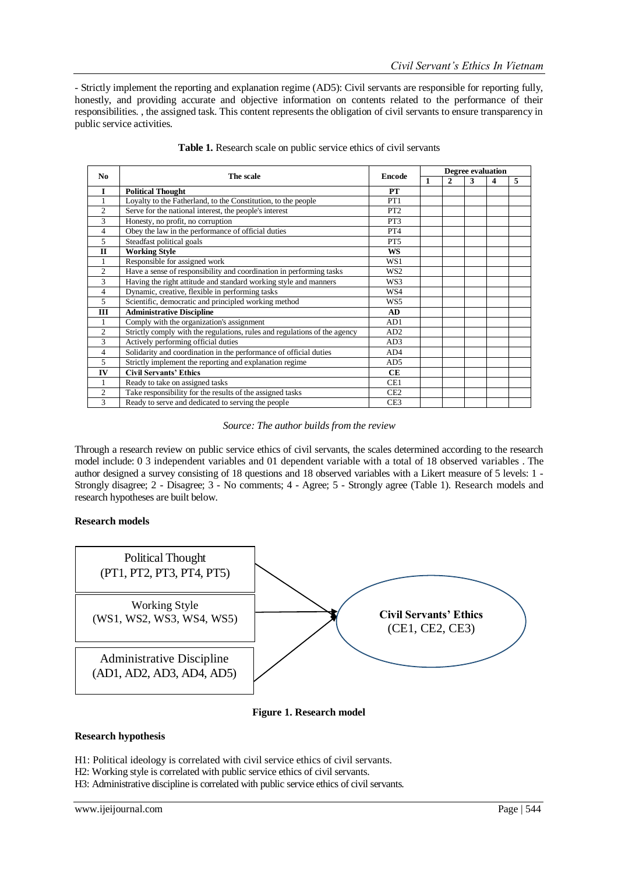- Strictly implement the reporting and explanation regime (AD5): Civil servants are responsible for reporting fully, honestly, and providing accurate and objective information on contents related to the performance of their responsibilities. , the assigned task. This content represents the obligation of civil servants to ensure transparency in public service activities.

| No             | The scale                                                                 | <b>Encode</b>   | Degree evaluation |              |   |   |   |  |
|----------------|---------------------------------------------------------------------------|-----------------|-------------------|--------------|---|---|---|--|
|                |                                                                           |                 | 1                 | $\mathbf{2}$ | 3 | 4 | 5 |  |
| $\mathbf{I}$   | <b>Political Thought</b>                                                  | <b>PT</b>       |                   |              |   |   |   |  |
| 1              | Loyalty to the Fatherland, to the Constitution, to the people             | PT1             |                   |              |   |   |   |  |
| $\overline{c}$ | Serve for the national interest, the people's interest                    | PT <sub>2</sub> |                   |              |   |   |   |  |
| 3              | Honesty, no profit, no corruption                                         | PT3             |                   |              |   |   |   |  |
| 4              | Obey the law in the performance of official duties                        | PT <sub>4</sub> |                   |              |   |   |   |  |
| 5              | Steadfast political goals                                                 | PT <sub>5</sub> |                   |              |   |   |   |  |
| $\mathbf{H}$   | <b>Working Style</b>                                                      | <b>WS</b>       |                   |              |   |   |   |  |
|                | Responsible for assigned work                                             | WS1             |                   |              |   |   |   |  |
| $\overline{c}$ | Have a sense of responsibility and coordination in performing tasks       | WS2             |                   |              |   |   |   |  |
| 3              | Having the right attitude and standard working style and manners          | WS3             |                   |              |   |   |   |  |
| 4              | Dynamic, creative, flexible in performing tasks                           | WS4             |                   |              |   |   |   |  |
| 5              | Scientific, democratic and principled working method                      | WS5             |                   |              |   |   |   |  |
| Ш              | <b>Administrative Discipline</b>                                          | AD              |                   |              |   |   |   |  |
|                | Comply with the organization's assignment                                 | AD1             |                   |              |   |   |   |  |
| $\overline{c}$ | Strictly comply with the regulations, rules and regulations of the agency | AD2             |                   |              |   |   |   |  |
| 3              | Actively performing official duties                                       | AD3             |                   |              |   |   |   |  |
| 4              | Solidarity and coordination in the performance of official duties         | AD4             |                   |              |   |   |   |  |
| 5              | Strictly implement the reporting and explanation regime                   | AD5             |                   |              |   |   |   |  |
| IV             | <b>Civil Servants' Ethics</b>                                             | <b>CE</b>       |                   |              |   |   |   |  |
|                | Ready to take on assigned tasks                                           | CE1             |                   |              |   |   |   |  |
| $\overline{c}$ | Take responsibility for the results of the assigned tasks                 | CE <sub>2</sub> |                   |              |   |   |   |  |
| 3              | Ready to serve and dedicated to serving the people                        | CE <sub>3</sub> |                   |              |   |   |   |  |

**Table 1.** Research scale on public service ethics of civil servants

*Source: The author builds from the review*

Through a research review on public service ethics of civil servants, the scales determined according to the research model include: 0 3 independent variables and 01 dependent variable with a total of 18 observed variables . The author designed a survey consisting of 18 questions and 18 observed variables with a Likert measure of 5 levels: 1 - Strongly disagree; 2 - Disagree; 3 - No comments; 4 - Agree; 5 - Strongly agree (Table 1). Research models and research hypotheses are built below.

# **Research models**



# **Figure 1. Research model**

# **Research hypothesis**

- H1: Political ideology is correlated with civil service ethics of civil servants.
- H2: Working style is correlated with public service ethics of civil servants.
- H3: Administrative discipline is correlated with public service ethics of civil servants.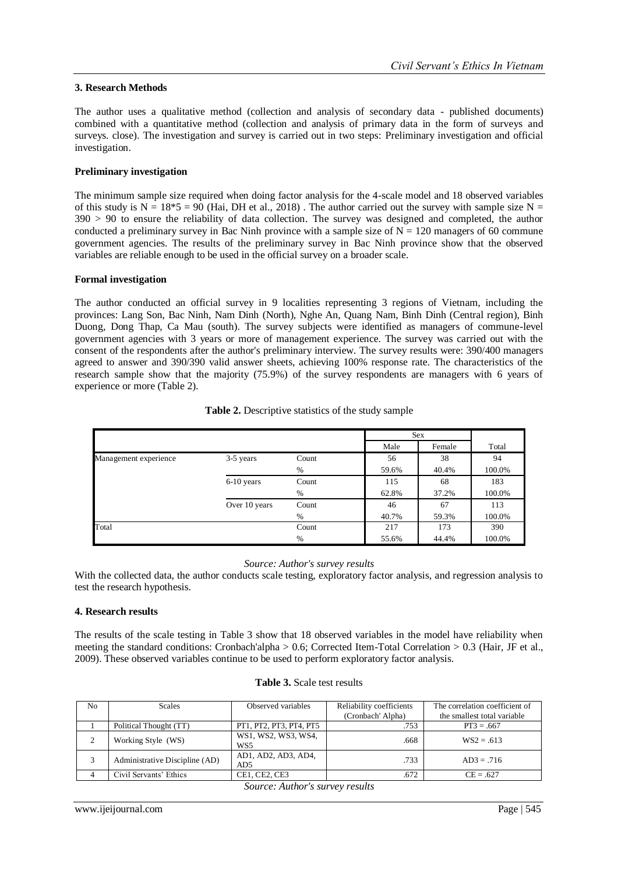# **3. Research Methods**

The author uses a qualitative method (collection and analysis of secondary data - published documents) combined with a quantitative method (collection and analysis of primary data in the form of surveys and surveys. close). The investigation and survey is carried out in two steps: Preliminary investigation and official investigation.

# **Preliminary investigation**

The minimum sample size required when doing factor analysis for the 4-scale model and 18 observed variables of this study is  $N = 18*5 = 90$  (Hai, DH et al., 2018). The author carried out the survey with sample size  $N =$ 390 > 90 to ensure the reliability of data collection. The survey was designed and completed, the author conducted a preliminary survey in Bac Ninh province with a sample size of  $N = 120$  managers of 60 commune government agencies. The results of the preliminary survey in Bac Ninh province show that the observed variables are reliable enough to be used in the official survey on a broader scale.

# **Formal investigation**

The author conducted an official survey in 9 localities representing 3 regions of Vietnam, including the provinces: Lang Son, Bac Ninh, Nam Dinh (North), Nghe An, Quang Nam, Binh Dinh (Central region), Binh Duong, Dong Thap, Ca Mau (south). The survey subjects were identified as managers of commune-level government agencies with 3 years or more of management experience. The survey was carried out with the consent of the respondents after the author's preliminary interview. The survey results were: 390/400 managers agreed to answer and 390/390 valid answer sheets, achieving 100% response rate. The characteristics of the research sample show that the majority (75.9%) of the survey respondents are managers with 6 years of experience or more (Table 2).

|                       |               |       |       | <b>Sex</b><br>Male<br>Female |        |  |
|-----------------------|---------------|-------|-------|------------------------------|--------|--|
|                       |               |       |       |                              |        |  |
| Management experience | 3-5 years     | Count | 56    | 38                           | 94     |  |
|                       |               | %     | 59.6% | 40.4%                        | 100.0% |  |
|                       | $6-10$ years  | Count | 115   | 68                           | 183    |  |
|                       |               | %     | 62.8% | 37.2%                        | 100.0% |  |
|                       | Over 10 years | Count | 46    | 67                           | 113    |  |
|                       |               | %     | 40.7% | 59.3%                        | 100.0% |  |
| Total                 |               | Count | 217   | 173                          | 390    |  |
|                       |               | $\%$  | 55.6% | 44.4%                        | 100.0% |  |

#### **Table 2.** Descriptive statistics of the study sample

#### *Source: Author's survey results*

With the collected data, the author conducts scale testing, exploratory factor analysis, and regression analysis to test the research hypothesis.

# **4. Research results**

The results of the scale testing in Table 3 show that 18 observed variables in the model have reliability when meeting the standard conditions: Cronbach'alpha > 0.6; Corrected Item-Total Correlation > 0.3 (Hair, JF et al., 2009). These observed variables continue to be used to perform exploratory factor analysis.

| N <sub>0</sub> | <b>Scales</b>                  | Observed variables                     | Reliability coefficients | The correlation coefficient of |  |
|----------------|--------------------------------|----------------------------------------|--------------------------|--------------------------------|--|
|                |                                |                                        | (Cronbach' Alpha)        | the smallest total variable    |  |
|                | Political Thought (TT)         | PT1, PT2, PT3, PT4, PT5                | .753                     | $PT3 = .667$                   |  |
| 2              | Working Style (WS)             | WS1, WS2, WS3, WS4,<br>WS <sub>5</sub> | .668                     | $WS2 = .613$                   |  |
| 3              | Administrative Discipline (AD) | AD1, AD2, AD3, AD4,<br>AD <sub>5</sub> | .733                     | $AD3 = .716$                   |  |
|                | Civil Servants' Ethics         | CE1, CE2, CE3                          | .672                     | $CE = .627$                    |  |

|  |  |  | <b>Table 3.</b> Scale test results |
|--|--|--|------------------------------------|
|--|--|--|------------------------------------|

*Source: Author's survey results*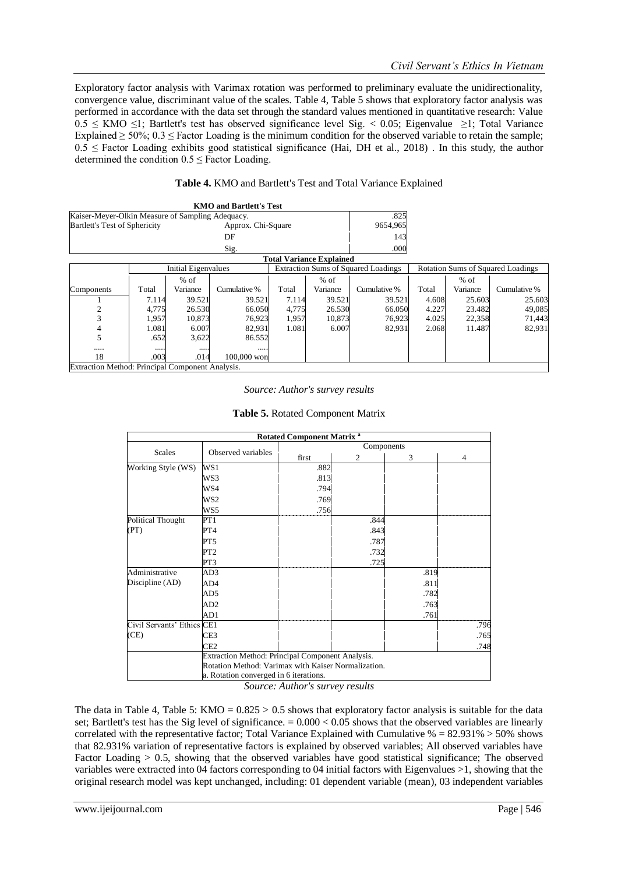Exploratory factor analysis with Varimax rotation was performed to preliminary evaluate the unidirectionality, convergence value, discriminant value of the scales. Table 4, Table 5 shows that exploratory factor analysis was performed in accordance with the data set through the standard values mentioned in quantitative research: Value  $0.5 \leq KMO \leq 1$ ; Bartlett's test has observed significance level Sig. < 0.05; Eigenvalue  $\geq 1$ ; Total Variance Explained  $\geq 50\%$ ; 0.3  $\leq$  Factor Loading is the minimum condition for the observed variable to retain the sample;  $0.5 \leq$  Factor Loading exhibits good statistical significance (Hai, DH et al., 2018). In this study, the author determined the condition  $0.5 \leq$  Factor Loading.

| Table 4. KMO and Bartlett's Test and Total Variance Explained |  |
|---------------------------------------------------------------|--|
|---------------------------------------------------------------|--|

|                                                  |       |                            | <b>KMO</b> and Bartlett's Test |       |                                 |                                            |       |          |                                          |
|--------------------------------------------------|-------|----------------------------|--------------------------------|-------|---------------------------------|--------------------------------------------|-------|----------|------------------------------------------|
| Kaiser-Meyer-Olkin Measure of Sampling Adequacy. |       |                            |                                |       |                                 | .825                                       |       |          |                                          |
| <b>Bartlett's Test of Sphericity</b>             |       |                            | Approx. Chi-Square             |       |                                 | 9654,965                                   |       |          |                                          |
|                                                  |       |                            | DF                             |       |                                 | 143                                        |       |          |                                          |
|                                                  |       |                            | Sig.                           |       |                                 | .000                                       |       |          |                                          |
|                                                  |       |                            |                                |       | <b>Total Variance Explained</b> |                                            |       |          |                                          |
|                                                  |       | <b>Initial Eigenvalues</b> |                                |       |                                 | <b>Extraction Sums of Squared Loadings</b> |       |          | <b>Rotation Sums of Squared Loadings</b> |
|                                                  |       | $%$ of                     |                                |       | $%$ of                          |                                            |       | $%$ of   |                                          |
| Components                                       | Total | Variance                   | Cumulative %                   | Total | Variance                        | Cumulative %                               | Total | Variance | Cumulative %                             |
|                                                  | 7.114 | 39.521                     | 39.521                         | 7.114 | 39.521                          | 39.521                                     | 4.608 | 25.603   | 25.603                                   |
| $\overline{c}$                                   | 4.775 | 26.530                     | 66.050                         | 4,775 | 26.530                          | 66.050                                     | 4.227 | 23.482   | 49,085                                   |
| 3                                                | 1,957 | 10,873                     | 76,923                         | 1,957 | 10,873                          | 76,923                                     | 4.025 | 22,358   | 71,443                                   |
| 4                                                | 1.081 | 6.007                      | 82,931                         | 1.081 | 6.007                           | 82,931                                     | 2.068 | 11.487   | 82,931                                   |
| 5                                                | .652  | 3,622                      | 86.552                         |       |                                 |                                            |       |          |                                          |
|                                                  |       |                            |                                |       |                                 |                                            |       |          |                                          |
| 18                                               | .003  | .014                       | 100,000 won                    |       |                                 |                                            |       |          |                                          |
| Extraction Method: Principal Component Analysis. |       |                            |                                |       |                                 |                                            |       |          |                                          |

*Source: Author's survey results*

|  | Table 5. Rotated Component Matrix |
|--|-----------------------------------|
|--|-----------------------------------|

|                            |                                                         | <b>Rotated Component Matrix<sup>a</sup></b> |                |      |                |  |  |  |  |
|----------------------------|---------------------------------------------------------|---------------------------------------------|----------------|------|----------------|--|--|--|--|
|                            | Components<br>Observed variables                        |                                             |                |      |                |  |  |  |  |
| Scales                     |                                                         | first                                       | 2              | 3    | $\overline{4}$ |  |  |  |  |
| Working Style (WS)         | WS1                                                     | .882                                        |                |      |                |  |  |  |  |
|                            | WS3                                                     | .813                                        |                |      |                |  |  |  |  |
|                            | WS4                                                     | .794                                        |                |      |                |  |  |  |  |
|                            | WS2                                                     | .769                                        |                |      |                |  |  |  |  |
|                            | WS5                                                     | .756                                        |                |      |                |  |  |  |  |
| Political Thought          | PT1                                                     |                                             | .844           |      |                |  |  |  |  |
| (PT)                       | PT4                                                     |                                             | .843           |      |                |  |  |  |  |
|                            | PT5                                                     |                                             | .787           |      |                |  |  |  |  |
|                            | PT <sub>2</sub>                                         |                                             | .732           |      |                |  |  |  |  |
|                            | PT3                                                     |                                             | .725           |      |                |  |  |  |  |
| Administrative             | AD3                                                     |                                             |                | .819 |                |  |  |  |  |
| Discipline (AD)            | AD4                                                     |                                             |                | .811 |                |  |  |  |  |
|                            | AD5                                                     |                                             |                | .782 |                |  |  |  |  |
|                            | AD <sub>2</sub>                                         |                                             |                | .763 |                |  |  |  |  |
|                            | AD1                                                     |                                             |                | .761 |                |  |  |  |  |
| Civil Servants' Ethics CE1 |                                                         |                                             |                |      | .796           |  |  |  |  |
| (CE)                       | CE3                                                     |                                             |                |      | .765           |  |  |  |  |
|                            | CE2                                                     |                                             |                |      | .748           |  |  |  |  |
|                            | Extraction Method: Principal Component Analysis.        |                                             |                |      |                |  |  |  |  |
|                            | Rotation Method: Varimax with Kaiser Normalization.     |                                             |                |      |                |  |  |  |  |
|                            | a. Rotation converged in 6 iterations.<br>$\sim$ $\sim$ |                                             | $\mathbf{r}$ . |      |                |  |  |  |  |

*Source: Author's survey results*

The data in Table 4, Table 5:  $KMO = 0.825 > 0.5$  shows that exploratory factor analysis is suitable for the data set; Bartlett's test has the Sig level of significance.  $= 0.000 < 0.05$  shows that the observed variables are linearly correlated with the representative factor; Total Variance Explained with Cumulative  $\% = 82.931\% > 50\%$  shows that 82.931% variation of representative factors is explained by observed variables; All observed variables have Factor Loading  $> 0.5$ , showing that the observed variables have good statistical significance; The observed variables were extracted into 04 factors corresponding to 04 initial factors with Eigenvalues >1, showing that the original research model was kept unchanged, including: 01 dependent variable (mean), 03 independent variables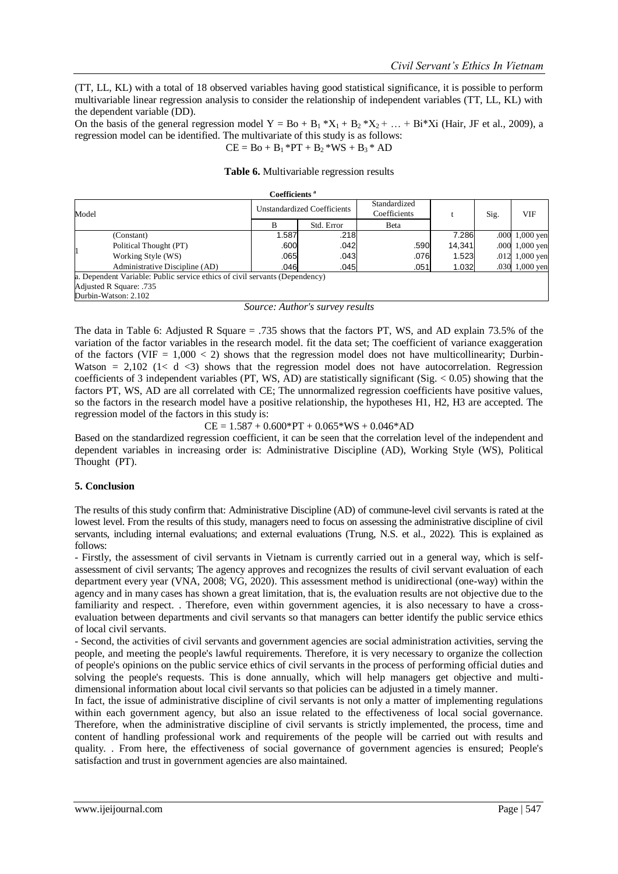(TT, LL, KL) with a total of 18 observed variables having good statistical significance, it is possible to perform multivariable linear regression analysis to consider the relationship of independent variables (TT, LL, KL) with the dependent variable (DD).

On the basis of the general regression model  $Y = Bo + B_1 * X_1 + B_2 * X_2 + ... + Bi *Xi$  (Hair, JF et al., 2009), a regression model can be identified. The multivariate of this study is as follows:

$$
CE = Bo + B1 * PT + B2 * WS + B3 * AD
$$

|                                                                             |                                | Coefficients <sup>a</sup>   |            |                              |        |      |                  |  |  |
|-----------------------------------------------------------------------------|--------------------------------|-----------------------------|------------|------------------------------|--------|------|------------------|--|--|
| Model                                                                       |                                | Unstandardized Coefficients |            | Standardized<br>Coefficients |        | Sig. | VIF              |  |  |
|                                                                             |                                | R                           | Std. Error | Beta                         |        |      |                  |  |  |
|                                                                             | (Constant)                     | 1.587                       | .218       |                              | 7.286  | .000 | $1,000$ yen      |  |  |
|                                                                             | Political Thought (PT)         | .600                        | .042       | .590                         | 14,341 |      | $.0001,000$ yen  |  |  |
|                                                                             | Working Style (WS)             | .065                        | .043       | .076                         | 1.523  |      | $.012$ 1,000 yen |  |  |
|                                                                             | Administrative Discipline (AD) | .046                        | .045       | .051                         | 1.032  |      | .030 1,000 yen   |  |  |
| a. Dependent Variable: Public service ethics of civil servants (Dependency) |                                |                             |            |                              |        |      |                  |  |  |
|                                                                             | Adjusted R Square: .735        |                             |            |                              |        |      |                  |  |  |
|                                                                             | Durbin-Watson: 2.102           |                             |            |                              |        |      |                  |  |  |

#### **Table 6.** Multivariable regression results

*Source: Author's survey results*

The data in Table 6: Adjusted R Square = .735 shows that the factors PT, WS, and AD explain 73.5% of the variation of the factor variables in the research model. fit the data set; The coefficient of variance exaggeration of the factors (VIF =  $1,000 < 2$ ) shows that the regression model does not have multicollinearity; Durbin-Watson  $= 2,102$  (1< d  $\langle 3 \rangle$  shows that the regression model does not have autocorrelation. Regression coefficients of 3 independent variables (PT, WS, AD) are statistically significant (Sig.  $< 0.05$ ) showing that the factors PT, WS, AD are all correlated with CE; The unnormalized regression coefficients have positive values, so the factors in the research model have a positive relationship, the hypotheses H1, H2, H3 are accepted. The regression model of the factors in this study is:

# $CE = 1.587 + 0.600*PT + 0.065*WS + 0.046*AD$

Based on the standardized regression coefficient, it can be seen that the correlation level of the independent and dependent variables in increasing order is: Administrative Discipline (AD), Working Style (WS), Political Thought (PT).

# **5. Conclusion**

The results of this study confirm that: Administrative Discipline (AD) of commune-level civil servants is rated at the lowest level. From the results of this study, managers need to focus on assessing the administrative discipline of civil servants, including internal evaluations; and external evaluations (Trung, N.S. et al., 2022). This is explained as follows:

- Firstly, the assessment of civil servants in Vietnam is currently carried out in a general way, which is selfassessment of civil servants; The agency approves and recognizes the results of civil servant evaluation of each department every year (VNA, 2008; VG, 2020). This assessment method is unidirectional (one-way) within the agency and in many cases has shown a great limitation, that is, the evaluation results are not objective due to the familiarity and respect. . Therefore, even within government agencies, it is also necessary to have a crossevaluation between departments and civil servants so that managers can better identify the public service ethics of local civil servants.

- Second, the activities of civil servants and government agencies are social administration activities, serving the people, and meeting the people's lawful requirements. Therefore, it is very necessary to organize the collection of people's opinions on the public service ethics of civil servants in the process of performing official duties and solving the people's requests. This is done annually, which will help managers get objective and multidimensional information about local civil servants so that policies can be adjusted in a timely manner.

In fact, the issue of administrative discipline of civil servants is not only a matter of implementing regulations within each government agency, but also an issue related to the effectiveness of local social governance. Therefore, when the administrative discipline of civil servants is strictly implemented, the process, time and content of handling professional work and requirements of the people will be carried out with results and quality. . From here, the effectiveness of social governance of government agencies is ensured; People's satisfaction and trust in government agencies are also maintained.